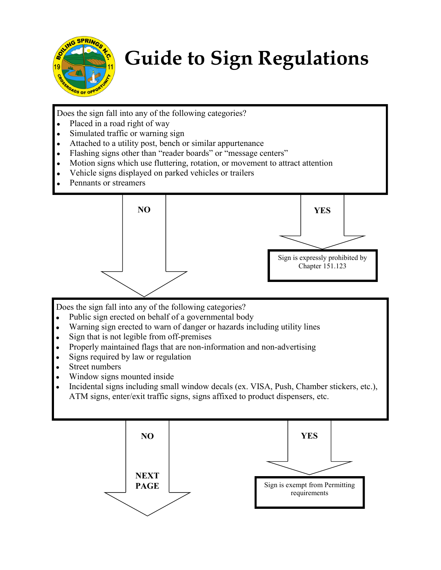

## **Guide to Sign Regulations**

Does the sign fall into any of the following categories?

- Placed in a road right of way
- Simulated traffic or warning sign  $\bullet$
- Attached to a utility post, bench or similar appurtenance
- Flashing signs other than "reader boards" or "message centers"
- Motion signs which use fluttering, rotation, or movement to attract attention
- Vehicle signs displayed on parked vehicles or trailers
- Pennants or streamers



Does the sign fall into any of the following categories?

- Public sign erected on behalf of a governmental body  $\bullet$
- Warning sign erected to warn of danger or hazards including utility lines  $\bullet$
- $\bullet$ Sign that is not legible from off-premises
- $\bullet$ Properly maintained flags that are non-information and non-advertising
- $\bullet$ Signs required by law or regulation
- $\bullet$ Street numbers
- $\bullet$ Window signs mounted inside
- Incidental signs including small window decals (ex. VISA, Push, Chamber stickers, etc.), ATM signs, enter/exit traffic signs, signs affixed to product dispensers, etc.

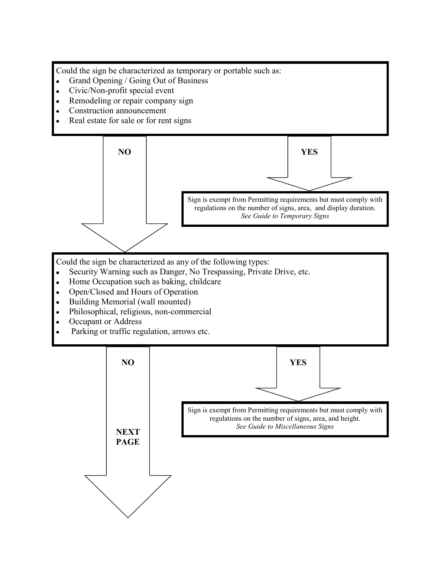Could the sign be characterized as temporary or portable such as:

- $\bullet$ Grand Opening / Going Out of Business
- $\bullet$ Civic/Non-profit special event
- $\bullet$ Remodeling or repair company sign
- $\bullet$ Construction announcement
- Real estate for sale or for rent signs

**YES NO** Sign is exempt from Permitting requirements but must comply with regulations on the number of signs, area, and display duration. *See Guide to Temporary Signs* 

Could the sign be characterized as any of the following types:

- Security Warning such as Danger, No Trespassing, Private Drive, etc.  $\bullet$
- Home Occupation such as baking, childcare  $\bullet$
- $\bullet$ Open/Closed and Hours of Operation
- $\bullet$ Building Memorial (wall mounted)
- $\bullet$ Philosophical, religious, non-commercial
- $\bullet$ Occupant or Address
- Parking or traffic regulation, arrows etc.